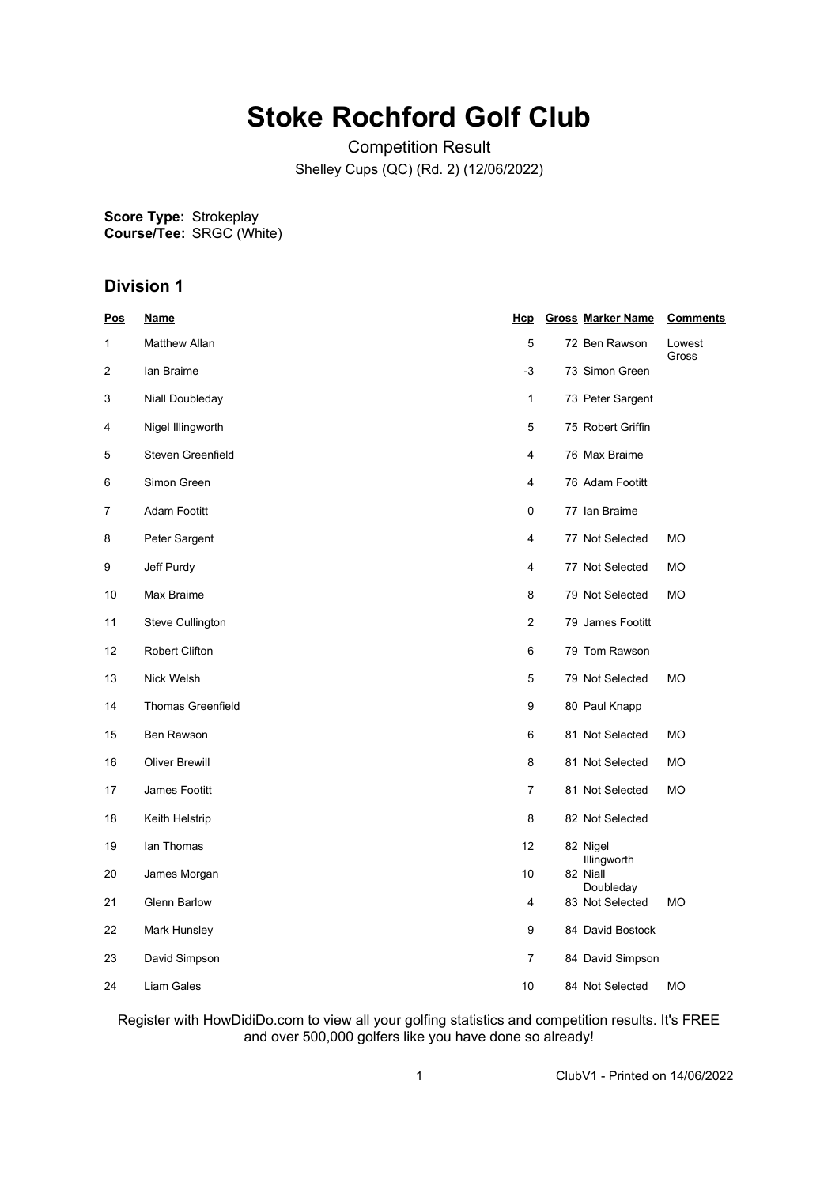## **Stoke Rochford Golf Club**

Competition Result Shelley Cups (QC) (Rd. 2) (12/06/2022)

**Score Type: Course/Tee:** Strokeplay SRGC (White)

## **Division 1**

| $\underline{\mathsf{Pos}}$ | <u>Name</u>              | <u>Hcp</u>     | <b>Gross Marker Name</b> | <b>Comments</b> |
|----------------------------|--------------------------|----------------|--------------------------|-----------------|
| $\mathbf{1}$               | <b>Matthew Allan</b>     | 5              | 72 Ben Rawson            | Lowest<br>Gross |
| 2                          | lan Braime               | -3             | 73 Simon Green           |                 |
| 3                          | Niall Doubleday          | $\mathbf{1}$   | 73 Peter Sargent         |                 |
| 4                          | Nigel Illingworth        | 5              | 75 Robert Griffin        |                 |
| 5                          | Steven Greenfield        | 4              | 76 Max Braime            |                 |
| 6                          | Simon Green              | 4              | 76 Adam Footitt          |                 |
| 7                          | <b>Adam Footitt</b>      | 0              | 77 Ian Braime            |                 |
| 8                          | Peter Sargent            | 4              | 77 Not Selected          | <b>MO</b>       |
| 9                          | Jeff Purdy               | 4              | 77 Not Selected          | МO              |
| 10                         | Max Braime               | 8              | 79 Not Selected          | МO              |
| 11                         | Steve Cullington         | 2              | 79 James Footitt         |                 |
| 12                         | <b>Robert Clifton</b>    | 6              | 79 Tom Rawson            |                 |
| 13                         | Nick Welsh               | 5              | 79 Not Selected          | МO              |
| 14                         | <b>Thomas Greenfield</b> | 9              | 80 Paul Knapp            |                 |
| 15                         | Ben Rawson               | 6              | 81 Not Selected          | <b>MO</b>       |
| 16                         | <b>Oliver Brewill</b>    | 8              | 81 Not Selected          | МO              |
| 17                         | James Footitt            | $\overline{7}$ | 81 Not Selected          | МO              |
| 18                         | Keith Helstrip           | 8              | 82 Not Selected          |                 |
| 19                         | lan Thomas               | 12             | 82 Nigel<br>Illingworth  |                 |
| 20                         | James Morgan             | 10             | 82 Niall<br>Doubleday    |                 |
| 21                         | <b>Glenn Barlow</b>      | 4              | 83 Not Selected          | <b>MO</b>       |
| 22                         | Mark Hunsley             | 9              | 84 David Bostock         |                 |
| 23                         | David Simpson            | $\overline{7}$ | 84 David Simpson         |                 |
| 24                         | Liam Gales               | 10             | 84 Not Selected          | <b>MO</b>       |

Register with HowDidiDo.com to view all your golfing statistics and competition results. It's FREE and over 500,000 golfers like you have done so already!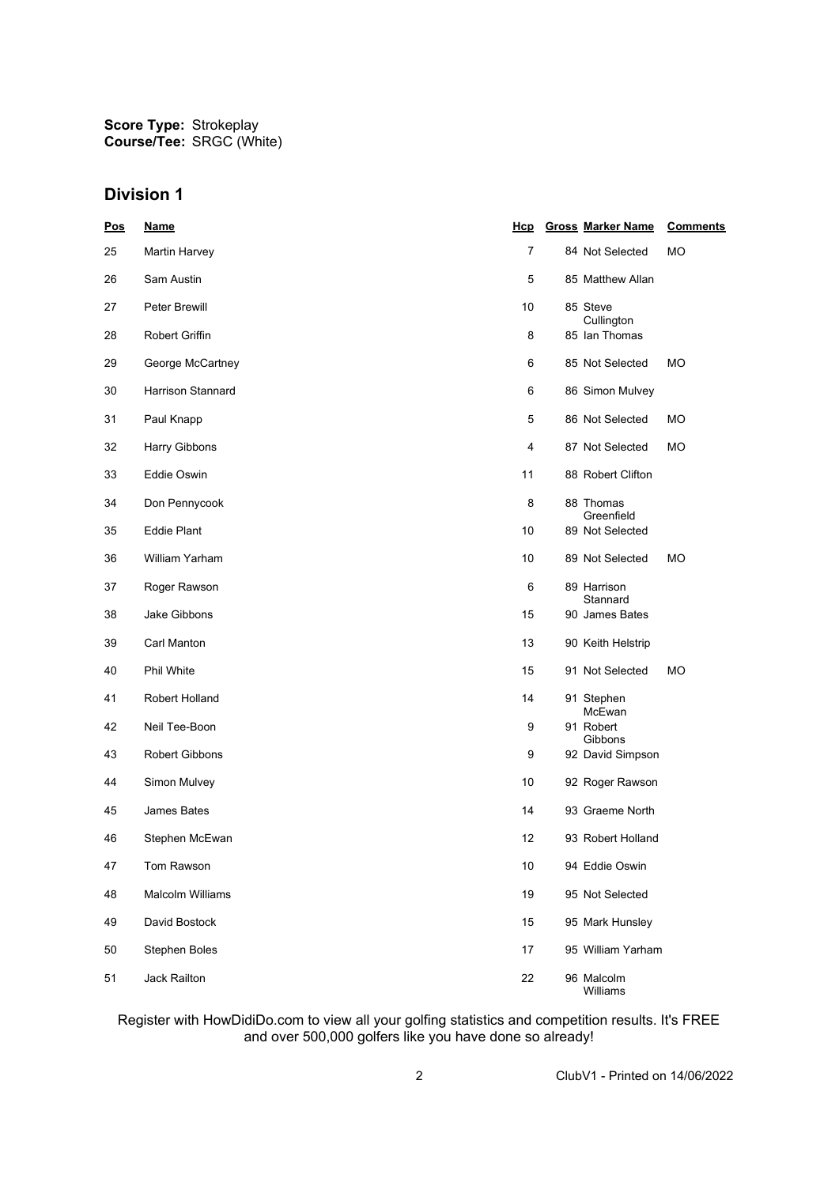**Score Type: Course/Tee:** Strokeplay SRGC (White)

## **Division 1**

| <u>Pos</u> | <b>Name</b>         | Hcp            | <b>Gross Marker Name</b>    | <b>Comments</b> |
|------------|---------------------|----------------|-----------------------------|-----------------|
| 25         | Martin Harvey       | $\overline{7}$ | 84 Not Selected             | МO              |
| 26         | Sam Austin          | 5              | 85 Matthew Allan            |                 |
| 27         | Peter Brewill       | 10             | 85 Steve<br>Cullington      |                 |
| 28         | Robert Griffin      | 8              | 85 Ian Thomas               |                 |
| 29         | George McCartney    | 6              | 85 Not Selected             | МO              |
| 30         | Harrison Stannard   | 6              | 86 Simon Mulvey             |                 |
| 31         | Paul Knapp          | 5              | 86 Not Selected             | МO              |
| 32         | Harry Gibbons       | 4              | 87 Not Selected             | МO              |
| 33         | Eddie Oswin         | 11             | 88 Robert Clifton           |                 |
| 34         | Don Pennycook       | 8              | 88 Thomas<br>Greenfield     |                 |
| 35         | <b>Eddie Plant</b>  | 10             | 89 Not Selected             |                 |
| 36         | William Yarham      | 10             | 89 Not Selected             | МO              |
| 37         | Roger Rawson        | 6              | 89 Harrison<br>Stannard     |                 |
| 38         | <b>Jake Gibbons</b> | 15             | 90 James Bates              |                 |
| 39         | Carl Manton         | 13             | 90 Keith Helstrip           |                 |
| 40         | Phil White          | 15             | 91 Not Selected             | МO              |
| 41         | Robert Holland      | 14             | 91 Stephen<br>McEwan        |                 |
| 42         | Neil Tee-Boon       | 9              | 91 Robert                   |                 |
| 43         | Robert Gibbons      | 9              | Gibbons<br>92 David Simpson |                 |
| 44         | Simon Mulvey        | 10             | 92 Roger Rawson             |                 |
| 45         | James Bates         | 14             | 93 Graeme North             |                 |
| 46         | Stephen McEwan      | 12             | 93 Robert Holland           |                 |
| 47         | Tom Rawson          | 10             | 94 Eddie Oswin              |                 |
| 48         | Malcolm Williams    | 19             | 95 Not Selected             |                 |
| 49         | David Bostock       | 15             | 95 Mark Hunsley             |                 |
| 50         | Stephen Boles       | 17             | 95 William Yarham           |                 |
| 51         | Jack Railton        | 22             | 96 Malcolm<br>Williams      |                 |

Register with HowDidiDo.com to view all your golfing statistics and competition results. It's FREE and over 500,000 golfers like you have done so already!